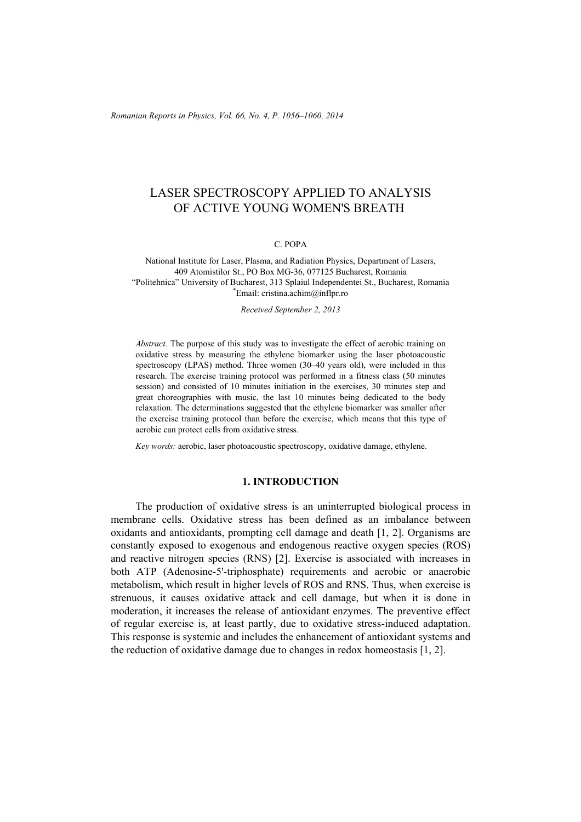*Romanian Reports in Physics, Vol. 66, No. 4, P. 1056–1060, 2014*

# LASER SPECTROSCOPY APPLIED TO ANALYSIS OF ACTIVE YOUNG WOMEN'S BREATH

#### C. POPA

National Institute for Laser, Plasma, and Radiation Physics, Department of Lasers, 409 Atomistilor St., PO Box MG-36, 077125 Bucharest, Romania "Politehnica" University of Bucharest, 313 Splaiul Independentei St., Bucharest, Romania \* Email: cristina.achim@inflpr.ro

*Received September 2, 2013* 

*Abstract.* The purpose of this study was to investigate the effect of aerobic training on oxidative stress by measuring the ethylene biomarker using the laser photoacoustic spectroscopy (LPAS) method. Three women (30–40 years old), were included in this research. The exercise training protocol was performed in a fitness class (50 minutes session) and consisted of 10 minutes initiation in the exercises, 30 minutes step and great choreographies with music, the last 10 minutes being dedicated to the body relaxation. The determinations suggested that the ethylene biomarker was smaller after the exercise training protocol than before the exercise, which means that this type of aerobic can protect cells from oxidative stress.

*Key words:* aerobic, laser photoacoustic spectroscopy, oxidative damage, ethylene.

### **1. INTRODUCTION**

The production of oxidative stress is an uninterrupted biological process in membrane cells. Oxidative stress has been defined as an imbalance between oxidants and antioxidants, prompting cell damage and death [1, 2]. Organisms are constantly exposed to exogenous and endogenous reactive oxygen species (ROS) and reactive nitrogen species (RNS) [2]. Exercise is associated with increases in both ATP (Adenosine-5'-triphosphate) requirements and aerobic or anaerobic metabolism, which result in higher levels of ROS and RNS. Thus, when exercise is strenuous, it causes oxidative attack and cell damage, but when it is done in moderation, it increases the release of antioxidant enzymes. The preventive effect of regular exercise is, at least partly, due to oxidative stress-induced adaptation. This response is systemic and includes the enhancement of antioxidant systems and the reduction of oxidative damage due to changes in redox homeostasis [1, 2].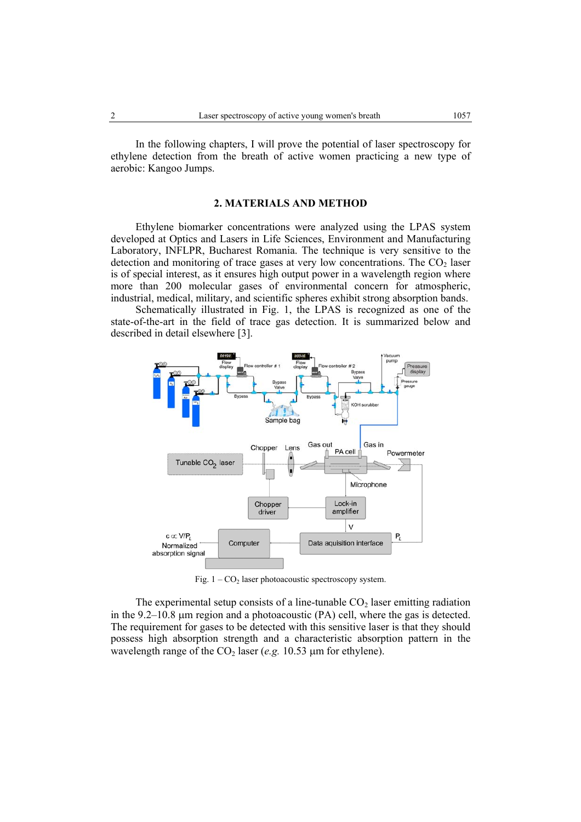In the following chapters, I will prove the potential of laser spectroscopy for ethylene detection from the breath of active women practicing a new type of aerobic: Kangoo Jumps.

#### **2. MATERIALS AND METHOD**

Ethylene biomarker concentrations were analyzed using the LPAS system developed at Optics and Lasers in Life Sciences, Environment and Manufacturing Laboratory, INFLPR, Bucharest Romania. The technique is very sensitive to the detection and monitoring of trace gases at very low concentrations. The  $CO<sub>2</sub>$  laser is of special interest, as it ensures high output power in a wavelength region where more than 200 molecular gases of environmental concern for atmospheric, industrial, medical, military, and scientific spheres exhibit strong absorption bands.

Schematically illustrated in Fig. 1, the LPAS is recognized as one of the state-of-the-art in the field of trace gas detection. It is summarized below and described in detail elsewhere [3].



Fig.  $1 - CO<sub>2</sub>$  laser photoacoustic spectroscopy system.

The experimental setup consists of a line-tunable  $CO<sub>2</sub>$  laser emitting radiation in the  $9.2-10.8$  µm region and a photoacoustic (PA) cell, where the gas is detected. The requirement for gases to be detected with this sensitive laser is that they should possess high absorption strength and a characteristic absorption pattern in the wavelength range of the  $CO<sub>2</sub>$  laser (*e.g.* 10.53  $\mu$ m for ethylene).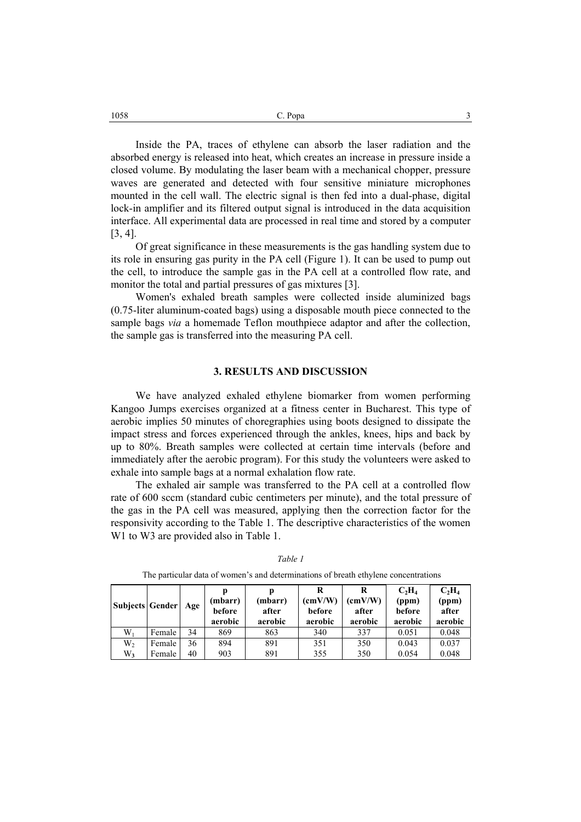Inside the PA, traces of ethylene can absorb the laser radiation and the absorbed energy is released into heat, which creates an increase in pressure inside a closed volume. By modulating the laser beam with a mechanical chopper, pressure waves are generated and detected with four sensitive miniature microphones mounted in the cell wall. The electric signal is then fed into a dual-phase, digital lock-in amplifier and its filtered output signal is introduced in the data acquisition interface. All experimental data are processed in real time and stored by a computer [3, 4].

Of great significance in these measurements is the gas handling system due to its role in ensuring gas purity in the PA cell (Figure 1). It can be used to pump out the cell, to introduce the sample gas in the PA cell at a controlled flow rate, and monitor the total and partial pressures of gas mixtures [3].

Women's exhaled breath samples were collected inside aluminized bags (0.75-liter aluminum-coated bags) using a disposable mouth piece connected to the sample bags *via* a homemade Teflon mouthpiece adaptor and after the collection, the sample gas is transferred into the measuring PA cell.

## **3. RESULTS AND DISCUSSION**

We have analyzed exhaled ethylene biomarker from women performing Kangoo Jumps exercises organized at a fitness center in Bucharest. This type of aerobic implies 50 minutes of choregraphies using boots designed to dissipate the impact stress and forces experienced through the ankles, knees, hips and back by up to 80%. Breath samples were collected at certain time intervals (before and immediately after the aerobic program). For this study the volunteers were asked to exhale into sample bags at a normal exhalation flow rate.

The exhaled air sample was transferred to the PA cell at a controlled flow rate of 600 sccm (standard cubic centimeters per minute), and the total pressure of the gas in the PA cell was measured, applying then the correction factor for the responsivity according to the Table 1. The descriptive characteristics of the women W1 to W3 are provided also in Table 1.

| Subjects   Gender |        | Age | (mbarr)<br>before<br>aerobic | (mbarr)<br>after<br>aerobic | R<br>(cmV/W)<br>before<br>aerobic | R<br>(cmV/W)<br>after<br>aerobic | $C_2H_4$<br>(ppm)<br>before<br>aerobic | $C_2H_4$<br>(ppm)<br>after<br>aerobic |
|-------------------|--------|-----|------------------------------|-----------------------------|-----------------------------------|----------------------------------|----------------------------------------|---------------------------------------|
| $W_1$             | Female | 34  | 869                          | 863                         | 340                               | 337                              | 0.051                                  | 0.048                                 |
| $W_2$             | Female | 36  | 894                          | 891                         | 351                               | 350                              | 0.043                                  | 0.037                                 |
| W <sub>3</sub>    | Female | 40  | 903                          | 891                         | 355                               | 350                              | 0.054                                  | 0.048                                 |

*Table 1*

The particular data of women's and determinations of breath ethylene concentrations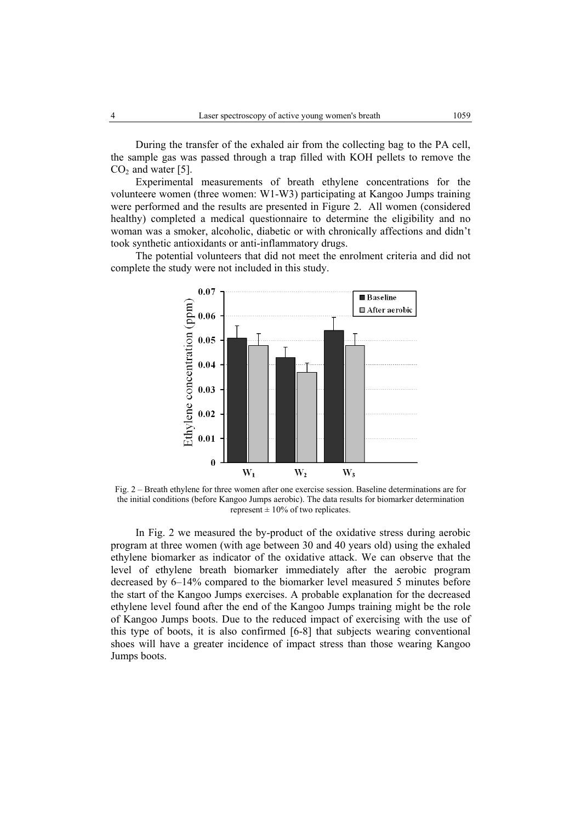During the transfer of the exhaled air from the collecting bag to the PA cell, the sample gas was passed through a trap filled with KOH pellets to remove the  $CO<sub>2</sub>$  and water [5].

Experimental measurements of breath ethylene concentrations for the volunteere women (three women: W1-W3) participating at Kangoo Jumps training were performed and the results are presented in Figure 2. All women (considered healthy) completed a medical questionnaire to determine the eligibility and no woman was a smoker, alcoholic, diabetic or with chronically affections and didn't took synthetic antioxidants or anti-inflammatory drugs.

 The potential volunteers that did not meet the enrolment criteria and did not complete the study were not included in this study.



Fig. 2 – Breath ethylene for three women after one exercise session. Baseline determinations are for the initial conditions (before Kangoo Jumps aerobic). The data results for biomarker determination represent  $\pm 10\%$  of two replicates.

In Fig. 2 we measured the by-product of the oxidative stress during aerobic program at three women (with age between 30 and 40 years old) using the exhaled ethylene biomarker as indicator of the oxidative attack. We can observe that the level of ethylene breath biomarker immediately after the aerobic program decreased by 6–14% compared to the biomarker level measured 5 minutes before the start of the Kangoo Jumps exercises. A probable explanation for the decreased ethylene level found after the end of the Kangoo Jumps training might be the role of Kangoo Jumps boots. Due to the reduced impact of exercising with the use of this type of boots, it is also confirmed [6-8] that subjects wearing conventional shoes will have a greater incidence of impact stress than those wearing Kangoo Jumps boots.